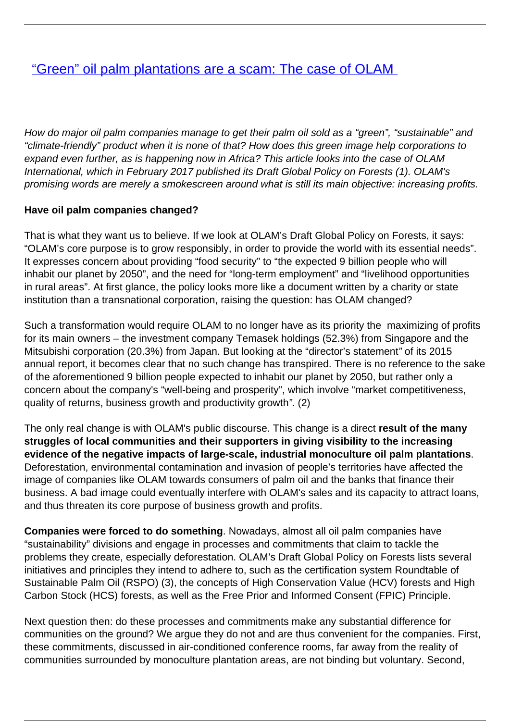# ["Green" oil palm plantations are a scam: The case of OLAM](/bulletin-articles/green-oil-palm-plantations-are-a-scam-the-case-of-olam)

How do major oil palm companies manage to get their palm oil sold as a "green", "sustainable" and "climate-friendly" product when it is none of that? How does this green image help corporations to expand even further, as is happening now in Africa? This article looks into the case of OLAM International, which in February 2017 published its Draft Global Policy on Forests (1). OLAM's promising words are merely a smokescreen around what is still its main objective: increasing profits.

#### **Have oil palm companies changed?**

That is what they want us to believe. If we look at OLAM's Draft Global Policy on Forests, it says: "OLAM's core purpose is to grow responsibly, in order to provide the world with its essential needs". It expresses concern about providing "food security" to "the expected 9 billion people who will inhabit our planet by 2050", and the need for "long-term employment" and "livelihood opportunities in rural areas". At first glance, the policy looks more like a document written by a charity or state institution than a transnational corporation, raising the question: has OLAM changed?

Such a transformation would require OLAM to no longer have as its priority the maximizing of profits for its main owners – the investment company Temasek holdings (52.3%) from Singapore and the Mitsubishi corporation (20.3%) from Japan. But looking at the "director's statement" of its 2015 annual report, it becomes clear that no such change has transpired. There is no reference to the sake of the aforementioned 9 billion people expected to inhabit our planet by 2050, but rather only a concern about the company's "well-being and prosperity", which involve "market competitiveness, quality of returns, business growth and productivity growth". (2)

The only real change is with OLAM's public discourse. This change is a direct **result of the many struggles of local communities and their supporters in giving visibility to the increasing evidence of the negative impacts of large-scale, industrial monoculture oil palm plantations**. Deforestation, environmental contamination and invasion of people's territories have affected the image of companies like OLAM towards consumers of palm oil and the banks that finance their business. A bad image could eventually interfere with OLAM's sales and its capacity to attract loans, and thus threaten its core purpose of business growth and profits.

**Companies were forced to do something**. Nowadays, almost all oil palm companies have "sustainability" divisions and engage in processes and commitments that claim to tackle the problems they create, especially deforestation. OLAM's Draft Global Policy on Forests lists several initiatives and principles they intend to adhere to, such as the certification system Roundtable of Sustainable Palm Oil (RSPO) (3), the concepts of High Conservation Value (HCV) forests and High Carbon Stock (HCS) forests, as well as the Free Prior and Informed Consent (FPIC) Principle.

Next question then: do these processes and commitments make any substantial difference for communities on the ground? We argue they do not and are thus convenient for the companies. First, these commitments, discussed in air-conditioned conference rooms, far away from the reality of communities surrounded by monoculture plantation areas, are not binding but voluntary. Second,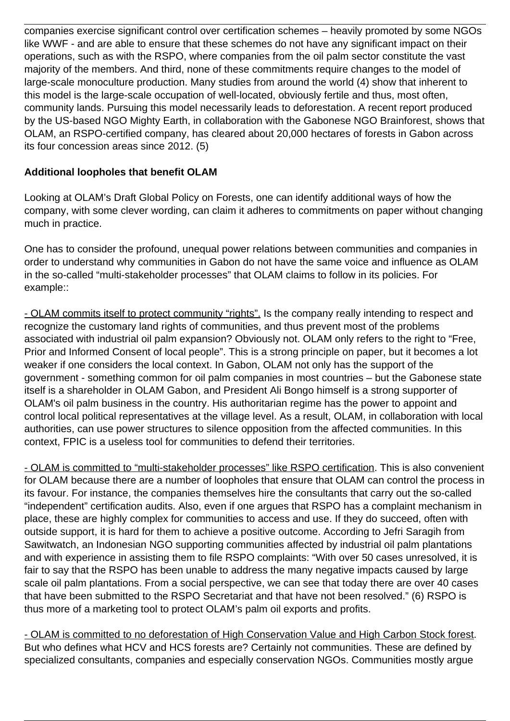companies exercise significant control over certification schemes – heavily promoted by some NGOs like WWF - and are able to ensure that these schemes do not have any significant impact on their operations, such as with the RSPO, where companies from the oil palm sector constitute the vast majority of the members. And third, none of these commitments require changes to the model of large-scale monoculture production. Many studies from around the world (4) show that inherent to this model is the large-scale occupation of well-located, obviously fertile and thus, most often, community lands. Pursuing this model necessarily leads to deforestation. A recent report produced by the US-based NGO Mighty Earth, in collaboration with the Gabonese NGO Brainforest, shows that OLAM, an RSPO-certified company, has cleared about 20,000 hectares of forests in Gabon across its four concession areas since 2012. (5)

### **Additional loopholes that benefit OLAM**

Looking at OLAM's Draft Global Policy on Forests, one can identify additional ways of how the company, with some clever wording, can claim it adheres to commitments on paper without changing much in practice.

One has to consider the profound, unequal power relations between communities and companies in order to understand why communities in Gabon do not have the same voice and influence as OLAM in the so-called "multi-stakeholder processes" that OLAM claims to follow in its policies. For example::

- OLAM commits itself to protect community "rights". Is the company really intending to respect and recognize the customary land rights of communities, and thus prevent most of the problems associated with industrial oil palm expansion? Obviously not. OLAM only refers to the right to "Free, Prior and Informed Consent of local people". This is a strong principle on paper, but it becomes a lot weaker if one considers the local context. In Gabon, OLAM not only has the support of the government - something common for oil palm companies in most countries – but the Gabonese state itself is a shareholder in OLAM Gabon, and President Ali Bongo himself is a strong supporter of OLAM's oil palm business in the country. His authoritarian regime has the power to appoint and control local political representatives at the village level. As a result, OLAM, in collaboration with local authorities, can use power structures to silence opposition from the affected communities. In this context, FPIC is a useless tool for communities to defend their territories.

- OLAM is committed to "multi-stakeholder processes" like RSPO certification. This is also convenient for OLAM because there are a number of loopholes that ensure that OLAM can control the process in its favour. For instance, the companies themselves hire the consultants that carry out the so-called "independent" certification audits. Also, even if one argues that RSPO has a complaint mechanism in place, these are highly complex for communities to access and use. If they do succeed, often with outside support, it is hard for them to achieve a positive outcome. According to Jefri Saragih from Sawitwatch, an Indonesian NGO supporting communities affected by industrial oil palm plantations and with experience in assisting them to file RSPO complaints: "With over 50 cases unresolved, it is fair to say that the RSPO has been unable to address the many negative impacts caused by large scale oil palm plantations. From a social perspective, we can see that today there are over 40 cases that have been submitted to the RSPO Secretariat and that have not been resolved." (6) RSPO is thus more of a marketing tool to protect OLAM's palm oil exports and profits.

- OLAM is committed to no deforestation of High Conservation Value and High Carbon Stock forest. But who defines what HCV and HCS forests are? Certainly not communities. These are defined by specialized consultants, companies and especially conservation NGOs. Communities mostly argue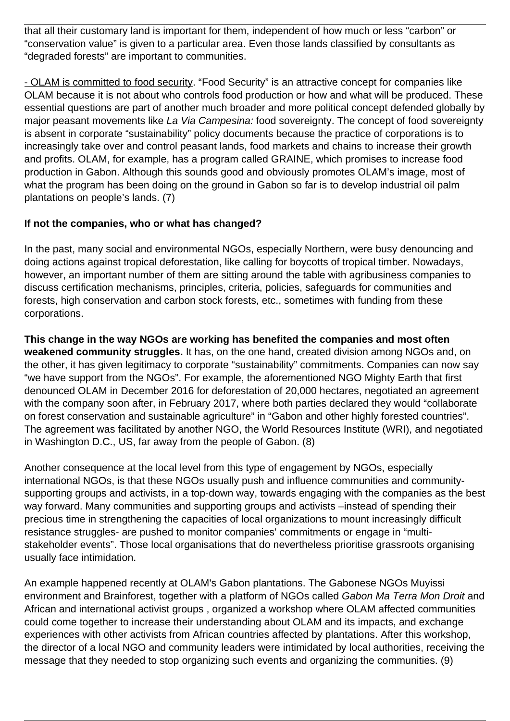that all their customary land is important for them, independent of how much or less "carbon" or "conservation value" is given to a particular area. Even those lands classified by consultants as "degraded forests" are important to communities.

- OLAM is committed to food security. "Food Security" is an attractive concept for companies like OLAM because it is not about who controls food production or how and what will be produced. These essential questions are part of another much broader and more political concept defended globally by major peasant movements like La Via Campesina: food sovereignty. The concept of food sovereignty is absent in corporate "sustainability" policy documents because the practice of corporations is to increasingly take over and control peasant lands, food markets and chains to increase their growth and profits. OLAM, for example, has a program called GRAINE, which promises to increase food production in Gabon. Although this sounds good and obviously promotes OLAM's image, most of what the program has been doing on the ground in Gabon so far is to develop industrial oil palm plantations on people's lands. (7)

# **If not the companies, who or what has changed?**

In the past, many social and environmental NGOs, especially Northern, were busy denouncing and doing actions against tropical deforestation, like calling for boycotts of tropical timber. Nowadays, however, an important number of them are sitting around the table with agribusiness companies to discuss certification mechanisms, principles, criteria, policies, safeguards for communities and forests, high conservation and carbon stock forests, etc., sometimes with funding from these corporations.

**This change in the way NGOs are working has benefited the companies and most often weakened community struggles.** It has, on the one hand, created division among NGOs and, on the other, it has given legitimacy to corporate "sustainability" commitments. Companies can now say "we have support from the NGOs". For example, the aforementioned NGO Mighty Earth that first denounced OLAM in December 2016 for deforestation of 20,000 hectares, negotiated an agreement with the company soon after, in February 2017, where both parties declared they would "collaborate on forest conservation and sustainable agriculture" in "Gabon and other highly forested countries". The agreement was facilitated by another NGO, the World Resources Institute (WRI), and negotiated in Washington D.C., US, far away from the people of Gabon. (8)

Another consequence at the local level from this type of engagement by NGOs, especially international NGOs, is that these NGOs usually push and influence communities and communitysupporting groups and activists, in a top-down way, towards engaging with the companies as the best way forward. Many communities and supporting groups and activists –instead of spending their precious time in strengthening the capacities of local organizations to mount increasingly difficult resistance struggles- are pushed to monitor companies' commitments or engage in "multistakeholder events". Those local organisations that do nevertheless prioritise grassroots organising usually face intimidation.

An example happened recently at OLAM's Gabon plantations. The Gabonese NGOs Muyissi environment and Brainforest, together with a platform of NGOs called Gabon Ma Terra Mon Droit and African and international activist groups , organized a workshop where OLAM affected communities could come together to increase their understanding about OLAM and its impacts, and exchange experiences with other activists from African countries affected by plantations. After this workshop, the director of a local NGO and community leaders were intimidated by local authorities, receiving the message that they needed to stop organizing such events and organizing the communities. (9)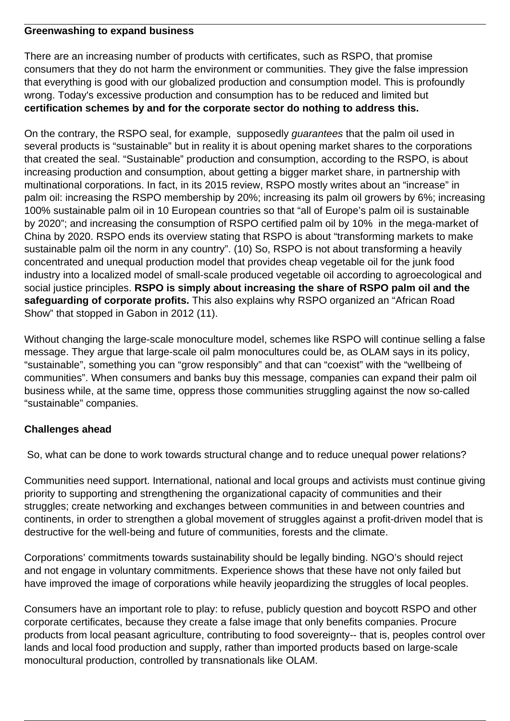#### **Greenwashing to expand business**

There are an increasing number of products with certificates, such as RSPO, that promise consumers that they do not harm the environment or communities. They give the false impression that everything is good with our globalized production and consumption model. This is profoundly wrong. Today's excessive production and consumption has to be reduced and limited but **certification schemes by and for the corporate sector do nothing to address this.**

On the contrary, the RSPO seal, for example, supposedly guarantees that the palm oil used in several products is "sustainable" but in reality it is about opening market shares to the corporations that created the seal. "Sustainable" production and consumption, according to the RSPO, is about increasing production and consumption, about getting a bigger market share, in partnership with multinational corporations. In fact, in its 2015 review, RSPO mostly writes about an "increase" in palm oil: increasing the RSPO membership by 20%; increasing its palm oil growers by 6%; increasing 100% sustainable palm oil in 10 European countries so that "all of Europe's palm oil is sustainable by 2020"; and increasing the consumption of RSPO certified palm oil by 10% in the mega-market of China by 2020. RSPO ends its overview stating that RSPO is about "transforming markets to make sustainable palm oil the norm in any country". (10) So, RSPO is not about transforming a heavily concentrated and unequal production model that provides cheap vegetable oil for the junk food industry into a localized model of small-scale produced vegetable oil according to agroecological and social justice principles. **RSPO is simply about increasing the share of RSPO palm oil and the safeguarding of corporate profits.** This also explains why RSPO organized an "African Road Show" that stopped in Gabon in 2012 (11).

Without changing the large-scale monoculture model, schemes like RSPO will continue selling a false message. They argue that large-scale oil palm monocultures could be, as OLAM says in its policy, "sustainable", something you can "grow responsibly" and that can "coexist" with the "wellbeing of communities". When consumers and banks buy this message, companies can expand their palm oil business while, at the same time, oppress those communities struggling against the now so-called "sustainable" companies.

#### **Challenges ahead**

So, what can be done to work towards structural change and to reduce unequal power relations?

Communities need support. International, national and local groups and activists must continue giving priority to supporting and strengthening the organizational capacity of communities and their struggles; create networking and exchanges between communities in and between countries and continents, in order to strengthen a global movement of struggles against a profit-driven model that is destructive for the well-being and future of communities, forests and the climate.

Corporations' commitments towards sustainability should be legally binding. NGO's should reject and not engage in voluntary commitments. Experience shows that these have not only failed but have improved the image of corporations while heavily jeopardizing the struggles of local peoples.

Consumers have an important role to play: to refuse, publicly question and boycott RSPO and other corporate certificates, because they create a false image that only benefits companies. Procure products from local peasant agriculture, contributing to food sovereignty-- that is, peoples control over lands and local food production and supply, rather than imported products based on large-scale monocultural production, controlled by transnationals like OLAM.